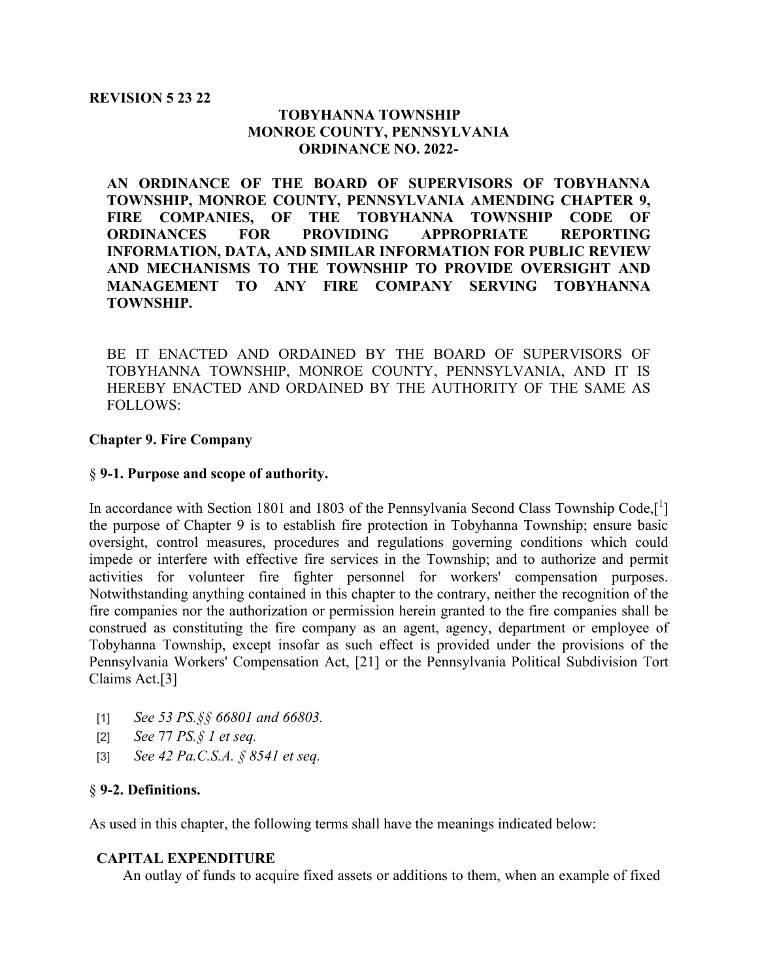#### **REVISION 5 23 22**

## **TOBYHANNA TOWNSHIP MONROE COUNTY, PENNSYLVANIA ORDINANCE NO. 2022-**

**AN ORDINANCE OF THE BOARD OF SUPERVISORS OF TOBYHANNA TOWNSHIP, MONROE COUNTY, PENNSYLVANIA AMENDING CHAPTER 9, FIRE COMPANIES, OF THE TOBYHANNA TOWNSHIP CODE OF ORDINANCES FOR PROVIDING APPROPRIATE REPORTING INFORMATION, DATA, AND SIMILAR INFORMATION FOR PUBLIC REVIEW AND MECHANISMS TO THE TOWNSHIP TO PROVIDE OVERSIGHT AND MANAGEMENT TO ANY FIRE COMPANY SERVING TOBYHANNA TOWNSHIP.** 

BE IT ENACTED AND ORDAINED BY THE BOARD OF SUPERVISORS OF TOBYHANNA TOWNSHIP, MONROE COUNTY, PENNSYLVANIA, AND IT IS HEREBY ENACTED AND ORDAINED BY THE AUTHORITY OF THE SAME AS FOLLOWS:

### **Chapter 9. Fire Company**

### § **9-1. Purpose and scope of authority.**

In accordance with Section 1801 and 1803 of the Pennsylvania Second Class Township Code,[1] the purpose of Chapter 9 is to establish fire protection in Tobyhanna Township; ensure basic oversight, control measures, procedures and regulations governing conditions which could impede or interfere with effective fire services in the Township; and to authorize and permit activities for volunteer fire fighter personnel for workers' compensation purposes. Notwithstanding anything contained in this chapter to the contrary, neither the recognition of the fire companies nor the authorization or permission herein granted to the fire companies shall be construed as constituting the fire company as an agent, agency, department or employee of Tobyhanna Township, except insofar as such effect is provided under the provisions of the Pennsylvania Workers' Compensation Act, [21] or the Pennsylvania Political Subdivision Tort Claims Act.[3]

- [1] *See 53 PS.§§ 66801 and 66803.*
- [2] *See* 77 *PS.§ 1 et seq.*
- [3] *See 42 Pa.C.S.A. § 8541 et seq.*

### § **9-2. Definitions.**

As used in this chapter, the following terms shall have the meanings indicated below:

### **CAPITAL EXPENDITURE**

An outlay of funds to acquire fixed assets or additions to them, when an example of fixed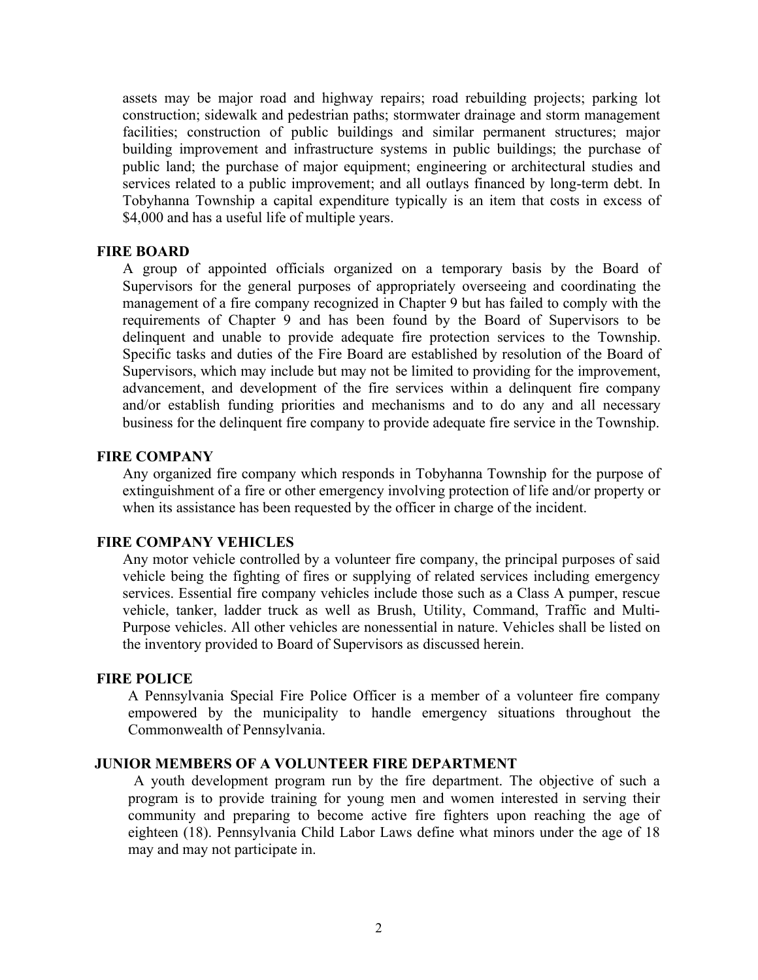assets may be major road and highway repairs; road rebuilding projects; parking lot construction; sidewalk and pedestrian paths; stormwater drainage and storm management facilities; construction of public buildings and similar permanent structures; major building improvement and infrastructure systems in public buildings; the purchase of public land; the purchase of major equipment; engineering or architectural studies and services related to a public improvement; and all outlays financed by long-term debt. In Tobyhanna Township a capital expenditure typically is an item that costs in excess of \$4,000 and has a useful life of multiple years.

#### **FIRE BOARD**

A group of appointed officials organized on a temporary basis by the Board of Supervisors for the general purposes of appropriately overseeing and coordinating the management of a fire company recognized in Chapter 9 but has failed to comply with the requirements of Chapter 9 and has been found by the Board of Supervisors to be delinquent and unable to provide adequate fire protection services to the Township. Specific tasks and duties of the Fire Board are established by resolution of the Board of Supervisors, which may include but may not be limited to providing for the improvement, advancement, and development of the fire services within a delinquent fire company and/or establish funding priorities and mechanisms and to do any and all necessary business for the delinquent fire company to provide adequate fire service in the Township.

#### **FIRE COMPANY**

Any organized fire company which responds in Tobyhanna Township for the purpose of extinguishment of a fire or other emergency involving protection of life and/or property or when its assistance has been requested by the officer in charge of the incident.

### **FIRE COMPANY VEHICLES**

Any motor vehicle controlled by a volunteer fire company, the principal purposes of said vehicle being the fighting of fires or supplying of related services including emergency services. Essential fire company vehicles include those such as a Class A pumper, rescue vehicle, tanker, ladder truck as well as Brush, Utility, Command, Traffic and Multi-Purpose vehicles. All other vehicles are nonessential in nature. Vehicles shall be listed on the inventory provided to Board of Supervisors as discussed herein.

#### **FIRE POLICE**

A Pennsylvania Special Fire Police Officer is a member of a volunteer fire company empowered by the municipality to handle emergency situations throughout the Commonwealth of Pennsylvania.

#### **JUNIOR MEMBERS OF A VOLUNTEER FIRE DEPARTMENT**

A youth development program run by the fire department. The objective of such a program is to provide training for young men and women interested in serving their community and preparing to become active fire fighters upon reaching the age of eighteen (18). Pennsylvania Child Labor Laws define what minors under the age of 18 may and may not participate in.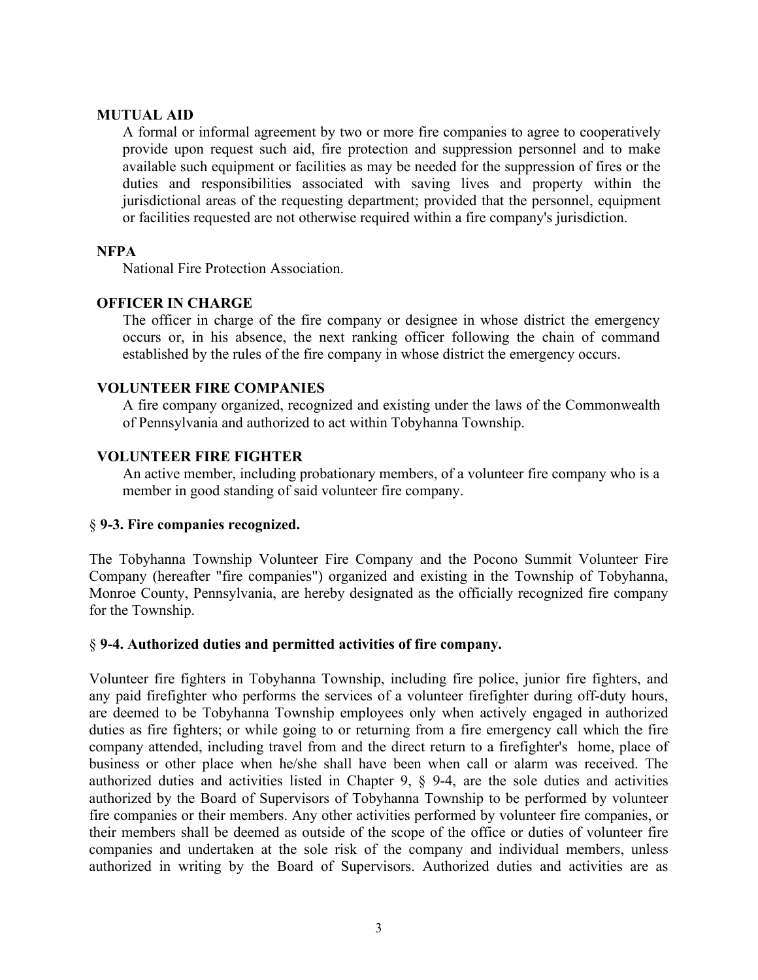### **MUTUAL AID**

A formal or informal agreement by two or more fire companies to agree to cooperatively provide upon request such aid, fire protection and suppression personnel and to make available such equipment or facilities as may be needed for the suppression of fires or the duties and responsibilities associated with saving lives and property within the jurisdictional areas of the requesting department; provided that the personnel, equipment or facilities requested are not otherwise required within a fire company's jurisdiction.

### **NFPA**

National Fire Protection Association.

### **OFFICER IN CHARGE**

The officer in charge of the fire company or designee in whose district the emergency occurs or, in his absence, the next ranking officer following the chain of command established by the rules of the fire company in whose district the emergency occurs.

### **VOLUNTEER FIRE COMPANIES**

A fire company organized, recognized and existing under the laws of the Commonwealth of Pennsylvania and authorized to act within Tobyhanna Township.

### **VOLUNTEER FIRE FIGHTER**

An active member, including probationary members, of a volunteer fire company who is a member in good standing of said volunteer fire company.

#### § **9-3. Fire companies recognized.**

The Tobyhanna Township Volunteer Fire Company and the Pocono Summit Volunteer Fire Company (hereafter "fire companies") organized and existing in the Township of Tobyhanna, Monroe County, Pennsylvania, are hereby designated as the officially recognized fire company for the Township.

#### § **9-4. Authorized duties and permitted activities of fire company.**

Volunteer fire fighters in Tobyhanna Township, including fire police, junior fire fighters, and any paid firefighter who performs the services of a volunteer firefighter during off-duty hours, are deemed to be Tobyhanna Township employees only when actively engaged in authorized duties as fire fighters; or while going to or returning from a fire emergency call which the fire company attended, including travel from and the direct return to a firefighter's home, place of business or other place when he/she shall have been when call or alarm was received. The authorized duties and activities listed in Chapter 9, § 9-4, are the sole duties and activities authorized by the Board of Supervisors of Tobyhanna Township to be performed by volunteer fire companies or their members. Any other activities performed by volunteer fire companies, or their members shall be deemed as outside of the scope of the office or duties of volunteer fire companies and undertaken at the sole risk of the company and individual members, unless authorized in writing by the Board of Supervisors. Authorized duties and activities are as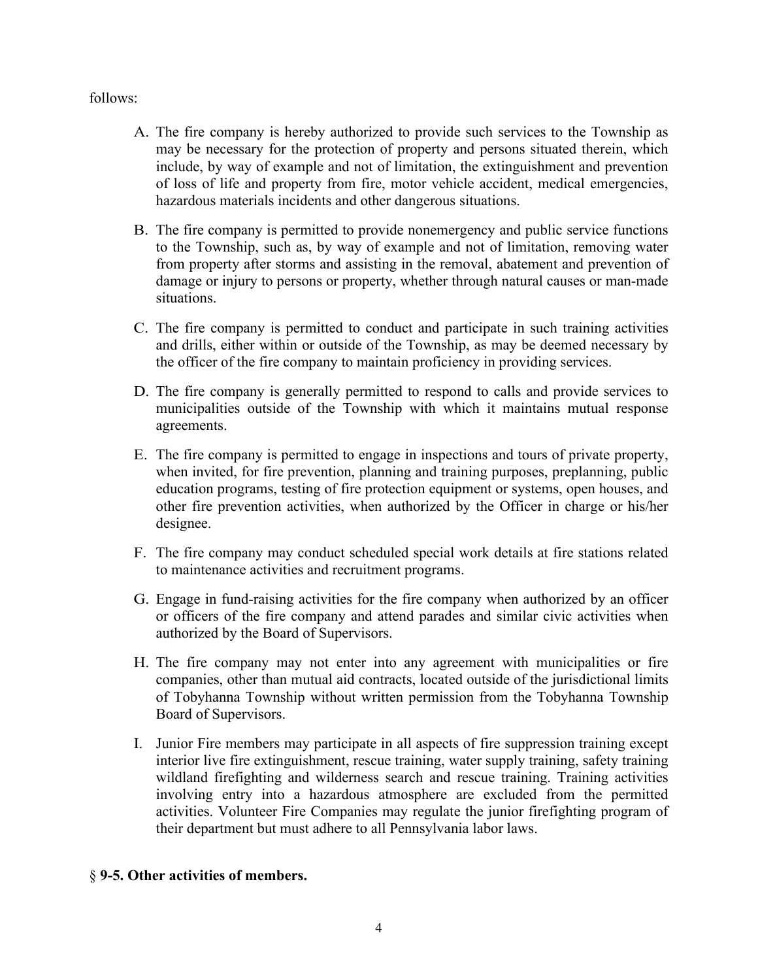### follows:

- A. The fire company is hereby authorized to provide such services to the Township as may be necessary for the protection of property and persons situated therein, which include, by way of example and not of limitation, the extinguishment and prevention of loss of life and property from fire, motor vehicle accident, medical emergencies, hazardous materials incidents and other dangerous situations.
- B. The fire company is permitted to provide nonemergency and public service functions to the Township, such as, by way of example and not of limitation, removing water from property after storms and assisting in the removal, abatement and prevention of damage or injury to persons or property, whether through natural causes or man-made situations.
- C. The fire company is permitted to conduct and participate in such training activities and drills, either within or outside of the Township, as may be deemed necessary by the officer of the fire company to maintain proficiency in providing services.
- D. The fire company is generally permitted to respond to calls and provide services to municipalities outside of the Township with which it maintains mutual response agreements.
- E. The fire company is permitted to engage in inspections and tours of private property, when invited, for fire prevention, planning and training purposes, preplanning, public education programs, testing of fire protection equipment or systems, open houses, and other fire prevention activities, when authorized by the Officer in charge or his/her designee.
- F. The fire company may conduct scheduled special work details at fire stations related to maintenance activities and recruitment programs.
- G. Engage in fund-raising activities for the fire company when authorized by an officer or officers of the fire company and attend parades and similar civic activities when authorized by the Board of Supervisors.
- H. The fire company may not enter into any agreement with municipalities or fire companies, other than mutual aid contracts, located outside of the jurisdictional limits of Tobyhanna Township without written permission from the Tobyhanna Township Board of Supervisors.
- I. Junior Fire members may participate in all aspects of fire suppression training except interior live fire extinguishment, rescue training, water supply training, safety training wildland firefighting and wilderness search and rescue training. Training activities involving entry into a hazardous atmosphere are excluded from the permitted activities. Volunteer Fire Companies may regulate the junior firefighting program of their department but must adhere to all Pennsylvania labor laws.

### § **9-5. Other activities of members.**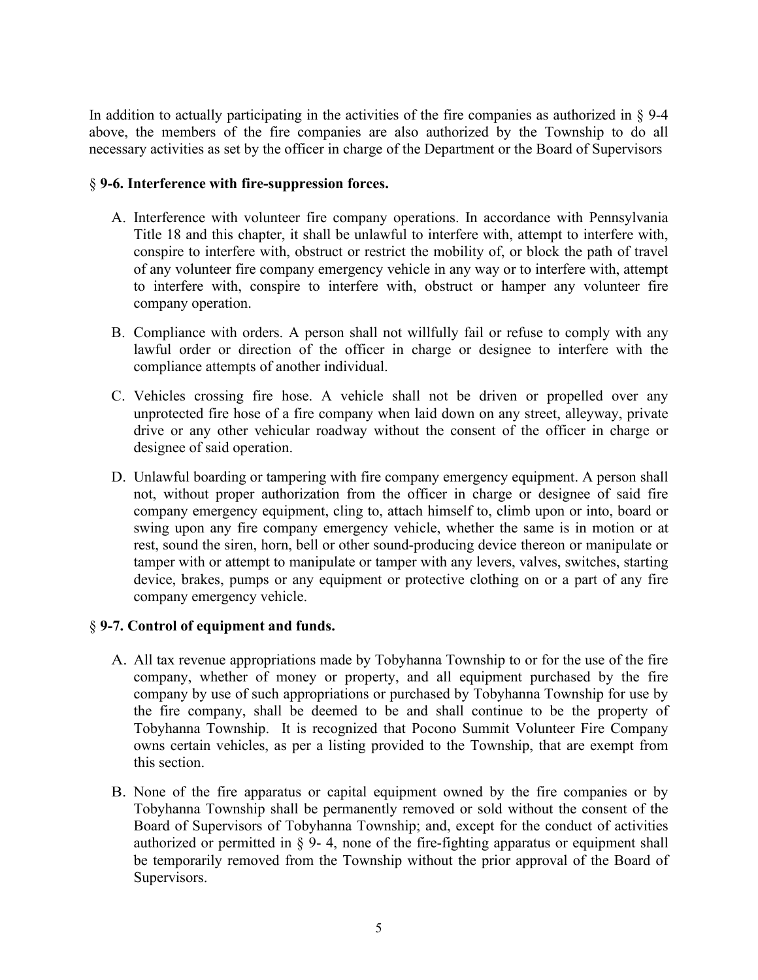In addition to actually participating in the activities of the fire companies as authorized in § 9-4 above, the members of the fire companies are also authorized by the Township to do all necessary activities as set by the officer in charge of the Department or the Board of Supervisors

## § **9-6. Interference with fire-suppression forces.**

- A. Interference with volunteer fire company operations. In accordance with Pennsylvania Title 18 and this chapter, it shall be unlawful to interfere with, attempt to interfere with, conspire to interfere with, obstruct or restrict the mobility of, or block the path of travel of any volunteer fire company emergency vehicle in any way or to interfere with, attempt to interfere with, conspire to interfere with, obstruct or hamper any volunteer fire company operation.
- B. Compliance with orders. A person shall not willfully fail or refuse to comply with any lawful order or direction of the officer in charge or designee to interfere with the compliance attempts of another individual.
- C. Vehicles crossing fire hose. A vehicle shall not be driven or propelled over any unprotected fire hose of a fire company when laid down on any street, alleyway, private drive or any other vehicular roadway without the consent of the officer in charge or designee of said operation.
- D. Unlawful boarding or tampering with fire company emergency equipment. A person shall not, without proper authorization from the officer in charge or designee of said fire company emergency equipment, cling to, attach himself to, climb upon or into, board or swing upon any fire company emergency vehicle, whether the same is in motion or at rest, sound the siren, horn, bell or other sound-producing device thereon or manipulate or tamper with or attempt to manipulate or tamper with any levers, valves, switches, starting device, brakes, pumps or any equipment or protective clothing on or a part of any fire company emergency vehicle.

# § **9-7. Control of equipment and funds.**

- A. All tax revenue appropriations made by Tobyhanna Township to or for the use of the fire company, whether of money or property, and all equipment purchased by the fire company by use of such appropriations or purchased by Tobyhanna Township for use by the fire company, shall be deemed to be and shall continue to be the property of Tobyhanna Township. It is recognized that Pocono Summit Volunteer Fire Company owns certain vehicles, as per a listing provided to the Township, that are exempt from this section.
- B. None of the fire apparatus or capital equipment owned by the fire companies or by Tobyhanna Township shall be permanently removed or sold without the consent of the Board of Supervisors of Tobyhanna Township; and, except for the conduct of activities authorized or permitted in  $\S$  9-4, none of the fire-fighting apparatus or equipment shall be temporarily removed from the Township without the prior approval of the Board of Supervisors.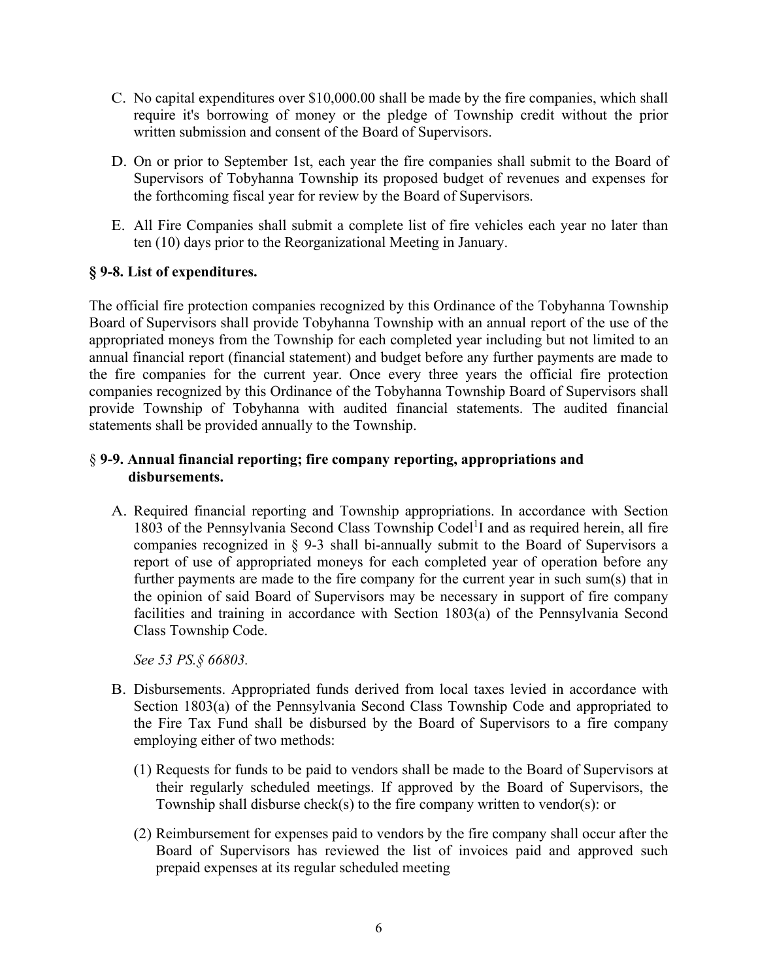- C. No capital expenditures over \$10,000.00 shall be made by the fire companies, which shall require it's borrowing of money or the pledge of Township credit without the prior written submission and consent of the Board of Supervisors.
- D. On or prior to September 1st, each year the fire companies shall submit to the Board of Supervisors of Tobyhanna Township its proposed budget of revenues and expenses for the forthcoming fiscal year for review by the Board of Supervisors.
- E. All Fire Companies shall submit a complete list of fire vehicles each year no later than ten (10) days prior to the Reorganizational Meeting in January.

# **§ 9-8. [List of expenditures.](https://ecode360.com/29559491#29559491)**

The official fire protection companies recognized by this Ordinance of the Tobyhanna Township Board of Supervisors shall provide Tobyhanna Township with an annual report of the use of the appropriated moneys from the Township for each completed year including but not limited to an annual financial report (financial statement) and budget before any further payments are made to the fire companies for the current year. Once every three years the official fire protection companies recognized by this Ordinance of the Tobyhanna Township Board of Supervisors shall provide Township of Tobyhanna with audited financial statements. The audited financial statements shall be provided annually to the Township.

# § **9-9. Annual financial reporting; fire company reporting, appropriations and disbursements.**

A. Required financial reporting and Township appropriations. In accordance with Section 1803 of the Pennsylvania Second Class Township Codel<sup>1</sup>I and as required herein, all fire companies recognized in § 9-3 shall bi-annually submit to the Board of Supervisors a report of use of appropriated moneys for each completed year of operation before any further payments are made to the fire company for the current year in such sum(s) that in the opinion of said Board of Supervisors may be necessary in support of fire company facilities and training in accordance with Section 1803(a) of the Pennsylvania Second Class Township Code.

*See 53 PS.§ 66803.* 

- B. Disbursements. Appropriated funds derived from local taxes levied in accordance with Section 1803(a) of the Pennsylvania Second Class Township Code and appropriated to the Fire Tax Fund shall be disbursed by the Board of Supervisors to a fire company employing either of two methods:
	- (1) Requests for funds to be paid to vendors shall be made to the Board of Supervisors at their regularly scheduled meetings. If approved by the Board of Supervisors, the Township shall disburse check(s) to the fire company written to vendor(s): or
	- (2) Reimbursement for expenses paid to vendors by the fire company shall occur after the Board of Supervisors has reviewed the list of invoices paid and approved such prepaid expenses at its regular scheduled meeting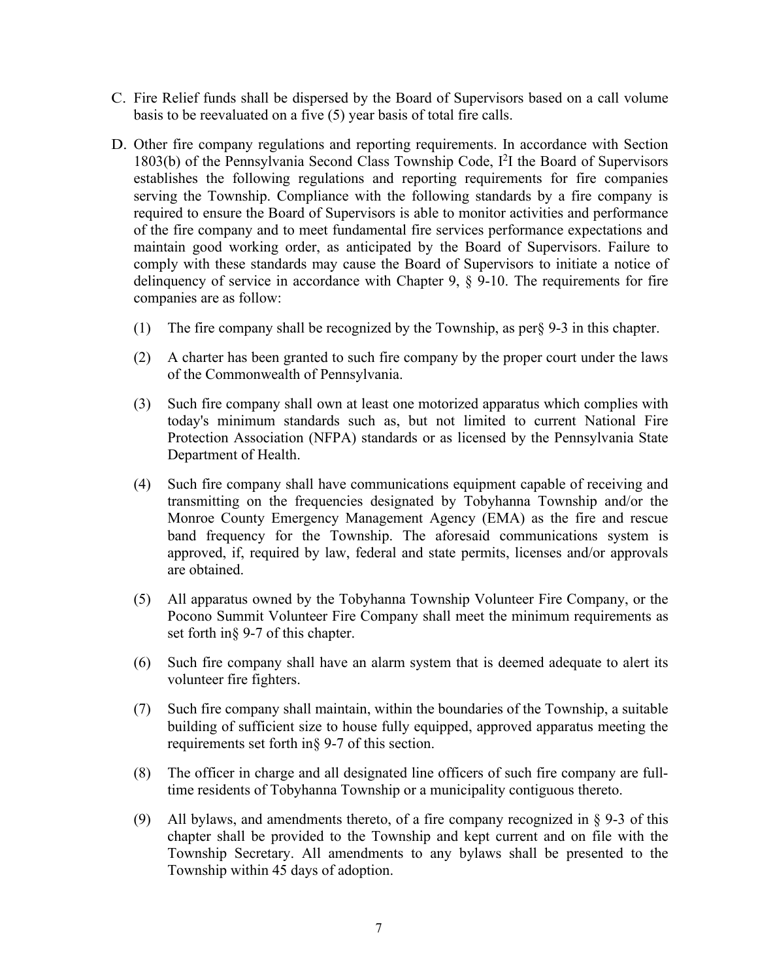- C. Fire Relief funds shall be dispersed by the Board of Supervisors based on a call volume basis to be reevaluated on a five (5) year basis of total fire calls.
- D. Other fire company regulations and reporting requirements. In accordance with Section 1803(b) of the Pennsylvania Second Class Township Code, I<sup>2</sup>I the Board of Supervisors establishes the following regulations and reporting requirements for fire companies serving the Township. Compliance with the following standards by a fire company is required to ensure the Board of Supervisors is able to monitor activities and performance of the fire company and to meet fundamental fire services performance expectations and maintain good working order, as anticipated by the Board of Supervisors. Failure to comply with these standards may cause the Board of Supervisors to initiate a notice of delinquency of service in accordance with Chapter 9, § 9-10. The requirements for fire companies are as follow:
	- (1) The fire company shall be recognized by the Township, as per§ 9-3 in this chapter.
	- (2) A charter has been granted to such fire company by the proper court under the laws of the Commonwealth of Pennsylvania.
	- (3) Such fire company shall own at least one motorized apparatus which complies with today's minimum standards such as, but not limited to current National Fire Protection Association (NFPA) standards or as licensed by the Pennsylvania State Department of Health.
	- (4) Such fire company shall have communications equipment capable of receiving and transmitting on the frequencies designated by Tobyhanna Township and/or the Monroe County Emergency Management Agency (EMA) as the fire and rescue band frequency for the Township. The aforesaid communications system is approved, if, required by law, federal and state permits, licenses and/or approvals are obtained.
	- (5) All apparatus owned by the Tobyhanna Township Volunteer Fire Company, or the Pocono Summit Volunteer Fire Company shall meet the minimum requirements as set forth in§ 9-7 of this chapter.
	- (6) Such fire company shall have an alarm system that is deemed adequate to alert its volunteer fire fighters.
	- (7) Such fire company shall maintain, within the boundaries of the Township, a suitable building of sufficient size to house fully equipped, approved apparatus meeting the requirements set forth in§ 9-7 of this section.
	- (8) The officer in charge and all designated line officers of such fire company are fulltime residents of Tobyhanna Township or a municipality contiguous thereto.
	- (9) All bylaws, and amendments thereto, of a fire company recognized in  $\S$  9-3 of this chapter shall be provided to the Township and kept current and on file with the Township Secretary. All amendments to any bylaws shall be presented to the Township within 45 days of adoption.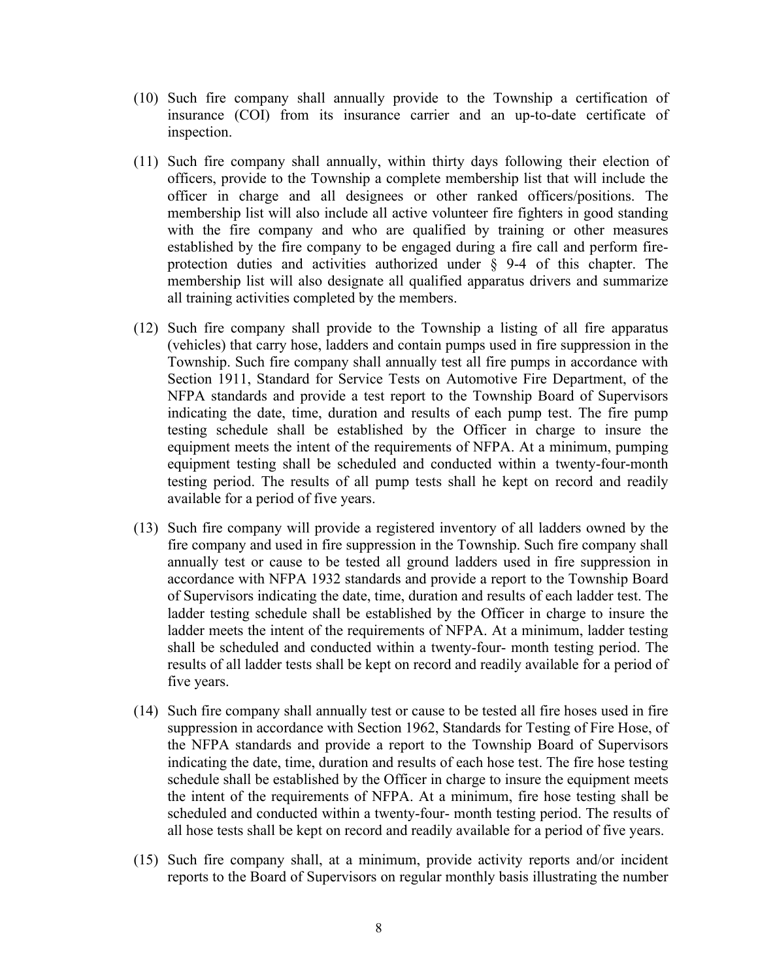- (10) Such fire company shall annually provide to the Township a certification of insurance (COI) from its insurance carrier and an up-to-date certificate of inspection.
- (11) Such fire company shall annually, within thirty days following their election of officers, provide to the Township a complete membership list that will include the officer in charge and all designees or other ranked officers/positions. The membership list will also include all active volunteer fire fighters in good standing with the fire company and who are qualified by training or other measures established by the fire company to be engaged during a fire call and perform fireprotection duties and activities authorized under § 9-4 of this chapter. The membership list will also designate all qualified apparatus drivers and summarize all training activities completed by the members.
- (12) Such fire company shall provide to the Township a listing of all fire apparatus (vehicles) that carry hose, ladders and contain pumps used in fire suppression in the Township. Such fire company shall annually test all fire pumps in accordance with Section 1911, Standard for Service Tests on Automotive Fire Department, of the NFPA standards and provide a test report to the Township Board of Supervisors indicating the date, time, duration and results of each pump test. The fire pump testing schedule shall be established by the Officer in charge to insure the equipment meets the intent of the requirements of NFPA. At a minimum, pumping equipment testing shall be scheduled and conducted within a twenty-four-month testing period. The results of all pump tests shall he kept on record and readily available for a period of five years.
- (13) Such fire company will provide a registered inventory of all ladders owned by the fire company and used in fire suppression in the Township. Such fire company shall annually test or cause to be tested all ground ladders used in fire suppression in accordance with NFPA 1932 standards and provide a report to the Township Board of Supervisors indicating the date, time, duration and results of each ladder test. The ladder testing schedule shall be established by the Officer in charge to insure the ladder meets the intent of the requirements of NFPA. At a minimum, ladder testing shall be scheduled and conducted within a twenty-four- month testing period. The results of all ladder tests shall be kept on record and readily available for a period of five years.
- (14) Such fire company shall annually test or cause to be tested all fire hoses used in fire suppression in accordance with Section 1962, Standards for Testing of Fire Hose, of the NFPA standards and provide a report to the Township Board of Supervisors indicating the date, time, duration and results of each hose test. The fire hose testing schedule shall be established by the Officer in charge to insure the equipment meets the intent of the requirements of NFPA. At a minimum, fire hose testing shall be scheduled and conducted within a twenty-four- month testing period. The results of all hose tests shall be kept on record and readily available for a period of five years.
- (15) Such fire company shall, at a minimum, provide activity reports and/or incident reports to the Board of Supervisors on regular monthly basis illustrating the number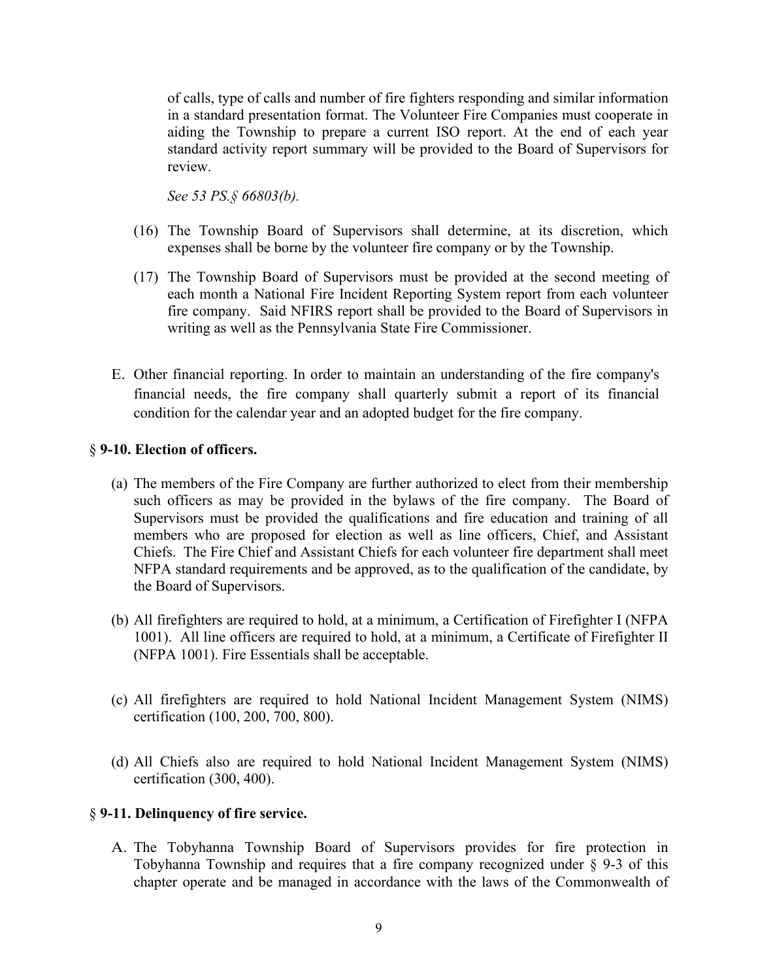of calls, type of calls and number of fire fighters responding and similar information in a standard presentation format. The Volunteer Fire Companies must cooperate in aiding the Township to prepare a current ISO report. At the end of each year standard activity report summary will be provided to the Board of Supervisors for review.

*See 53 PS.§ 66803(b).*

- (16) The Township Board of Supervisors shall determine, at its discretion, which expenses shall be borne by the volunteer fire company or by the Township.
- (17) The Township Board of Supervisors must be provided at the second meeting of each month a National Fire Incident Reporting System report from each volunteer fire company. Said NFIRS report shall be provided to the Board of Supervisors in writing as well as the Pennsylvania State Fire Commissioner.
- E. Other financial reporting. In order to maintain an understanding of the fire company's financial needs, the fire company shall quarterly submit a report of its financial condition for the calendar year and an adopted budget for the fire company.

## § **9-10. Election of officers.**

- (a) The members of the Fire Company are further authorized to elect from their membership such officers as may be provided in the bylaws of the fire company. The Board of Supervisors must be provided the qualifications and fire education and training of all members who are proposed for election as well as line officers, Chief, and Assistant Chiefs. The Fire Chief and Assistant Chiefs for each volunteer fire department shall meet NFPA standard requirements and be approved, as to the qualification of the candidate, by the Board of Supervisors.
- (b) All firefighters are required to hold, at a minimum, a Certification of Firefighter I (NFPA 1001). All line officers are required to hold, at a minimum, a Certificate of Firefighter II (NFPA 1001). Fire Essentials shall be acceptable.
- (c) All firefighters are required to hold National Incident Management System (NIMS) certification (100, 200, 700, 800).
- (d) All Chiefs also are required to hold National Incident Management System (NIMS) certification (300, 400).

### § **9-11. Delinquency of fire service.**

A. The Tobyhanna Township Board of Supervisors provides for fire protection in Tobyhanna Township and requires that a fire company recognized under § 9-3 of this chapter operate and be managed in accordance with the laws of the Commonwealth of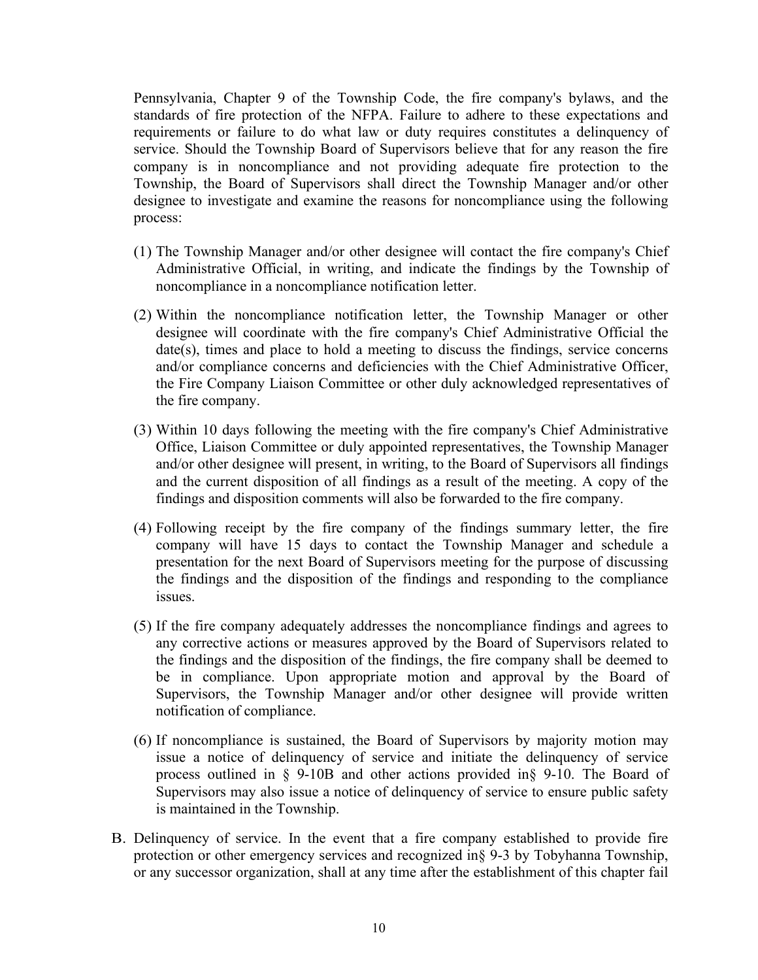Pennsylvania, Chapter 9 of the Township Code, the fire company's bylaws, and the standards of fire protection of the NFPA. Failure to adhere to these expectations and requirements or failure to do what law or duty requires constitutes a delinquency of service. Should the Township Board of Supervisors believe that for any reason the fire company is in noncompliance and not providing adequate fire protection to the Township, the Board of Supervisors shall direct the Township Manager and/or other designee to investigate and examine the reasons for noncompliance using the following process:

- (1) The Township Manager and/or other designee will contact the fire company's Chief Administrative Official, in writing, and indicate the findings by the Township of noncompliance in a noncompliance notification letter.
- (2) Within the noncompliance notification letter, the Township Manager or other designee will coordinate with the fire company's Chief Administrative Official the date(s), times and place to hold a meeting to discuss the findings, service concerns and/or compliance concerns and deficiencies with the Chief Administrative Officer, the Fire Company Liaison Committee or other duly acknowledged representatives of the fire company.
- (3) Within 10 days following the meeting with the fire company's Chief Administrative Office, Liaison Committee or duly appointed representatives, the Township Manager and/or other designee will present, in writing, to the Board of Supervisors all findings and the current disposition of all findings as a result of the meeting. A copy of the findings and disposition comments will also be forwarded to the fire company.
- (4) Following receipt by the fire company of the findings summary letter, the fire company will have 15 days to contact the Township Manager and schedule a presentation for the next Board of Supervisors meeting for the purpose of discussing the findings and the disposition of the findings and responding to the compliance issues.
- (5) If the fire company adequately addresses the noncompliance findings and agrees to any corrective actions or measures approved by the Board of Supervisors related to the findings and the disposition of the findings, the fire company shall be deemed to be in compliance. Upon appropriate motion and approval by the Board of Supervisors, the Township Manager and/or other designee will provide written notification of compliance.
- (6) If noncompliance is sustained, the Board of Supervisors by majority motion may issue a notice of delinquency of service and initiate the delinquency of service process outlined in § 9-10B and other actions provided in§ 9-10. The Board of Supervisors may also issue a notice of delinquency of service to ensure public safety is maintained in the Township.
- B. Delinquency of service. In the event that a fire company established to provide fire protection or other emergency services and recognized in§ 9-3 by Tobyhanna Township, or any successor organization, shall at any time after the establishment of this chapter fail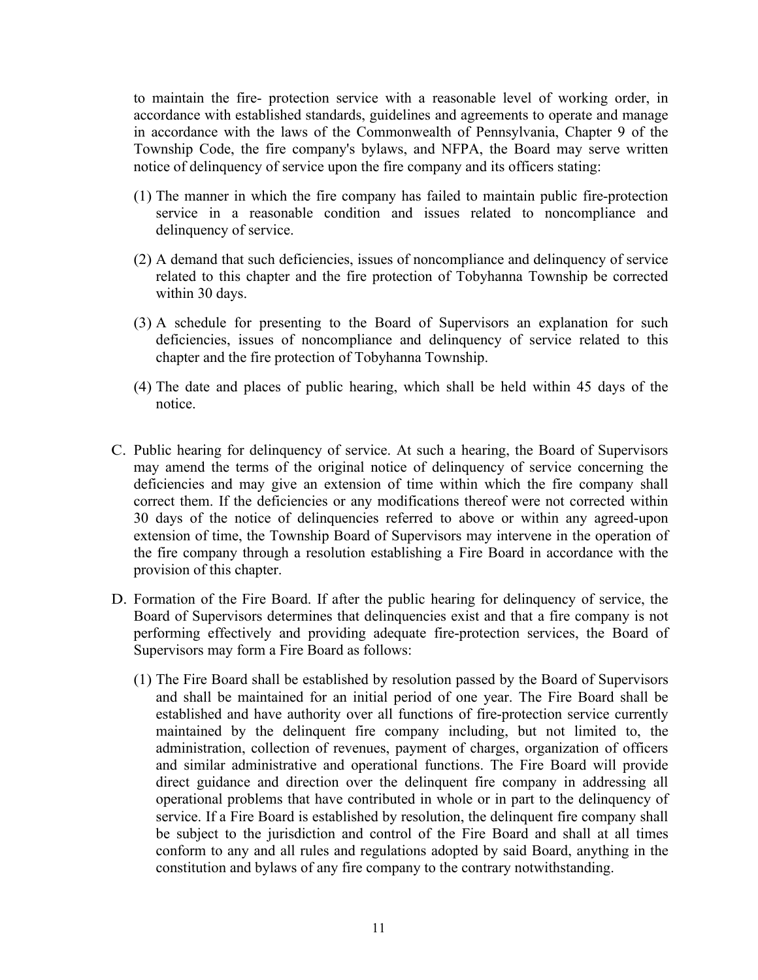to maintain the fire- protection service with a reasonable level of working order, in accordance with established standards, guidelines and agreements to operate and manage in accordance with the laws of the Commonwealth of Pennsylvania, Chapter 9 of the Township Code, the fire company's bylaws, and NFPA, the Board may serve written notice of delinquency of service upon the fire company and its officers stating:

- (1) The manner in which the fire company has failed to maintain public fire-protection service in a reasonable condition and issues related to noncompliance and delinquency of service.
- (2) A demand that such deficiencies, issues of noncompliance and delinquency of service related to this chapter and the fire protection of Tobyhanna Township be corrected within 30 days.
- (3) A schedule for presenting to the Board of Supervisors an explanation for such deficiencies, issues of noncompliance and delinquency of service related to this chapter and the fire protection of Tobyhanna Township.
- (4) The date and places of public hearing, which shall be held within 45 days of the notice.
- C. Public hearing for delinquency of service. At such a hearing, the Board of Supervisors may amend the terms of the original notice of delinquency of service concerning the deficiencies and may give an extension of time within which the fire company shall correct them. If the deficiencies or any modifications thereof were not corrected within 30 days of the notice of delinquencies referred to above or within any agreed-upon extension of time, the Township Board of Supervisors may intervene in the operation of the fire company through a resolution establishing a Fire Board in accordance with the provision of this chapter.
- D. Formation of the Fire Board. If after the public hearing for delinquency of service, the Board of Supervisors determines that delinquencies exist and that a fire company is not performing effectively and providing adequate fire-protection services, the Board of Supervisors may form a Fire Board as follows:
	- (1) The Fire Board shall be established by resolution passed by the Board of Supervisors and shall be maintained for an initial period of one year. The Fire Board shall be established and have authority over all functions of fire-protection service currently maintained by the delinquent fire company including, but not limited to, the administration, collection of revenues, payment of charges, organization of officers and similar administrative and operational functions. The Fire Board will provide direct guidance and direction over the delinquent fire company in addressing all operational problems that have contributed in whole or in part to the delinquency of service. If a Fire Board is established by resolution, the delinquent fire company shall be subject to the jurisdiction and control of the Fire Board and shall at all times conform to any and all rules and regulations adopted by said Board, anything in the constitution and bylaws of any fire company to the contrary notwithstanding.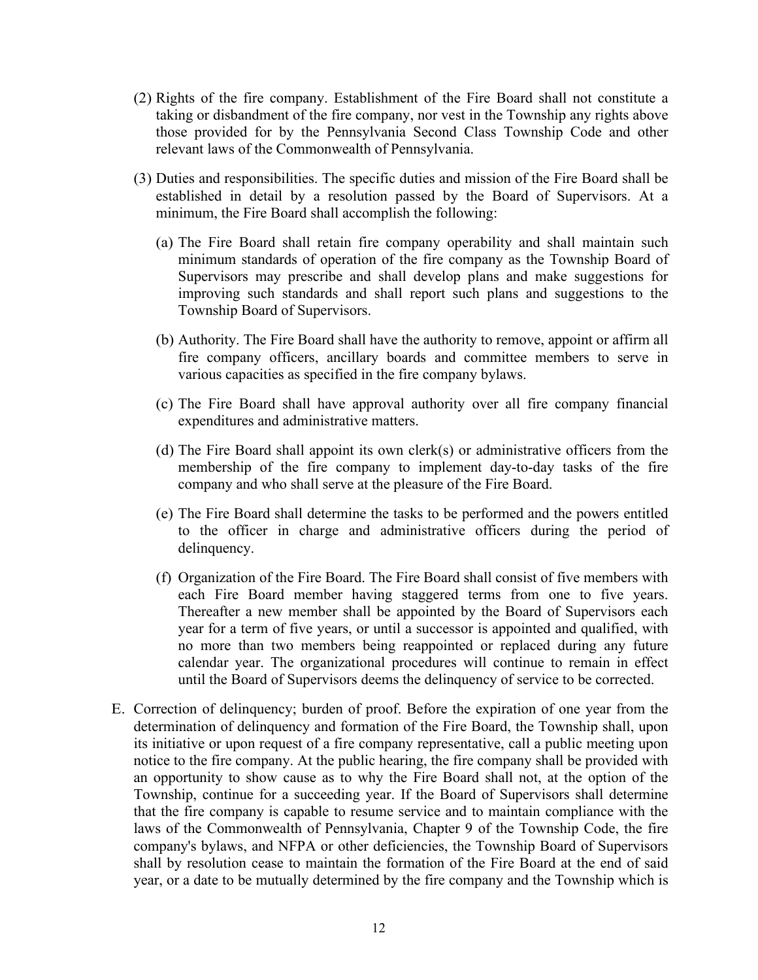- (2) Rights of the fire company. Establishment of the Fire Board shall not constitute a taking or disbandment of the fire company, nor vest in the Township any rights above those provided for by the Pennsylvania Second Class Township Code and other relevant laws of the Commonwealth of Pennsylvania.
- (3) Duties and responsibilities. The specific duties and mission of the Fire Board shall be established in detail by a resolution passed by the Board of Supervisors. At a minimum, the Fire Board shall accomplish the following:
	- (a) The Fire Board shall retain fire company operability and shall maintain such minimum standards of operation of the fire company as the Township Board of Supervisors may prescribe and shall develop plans and make suggestions for improving such standards and shall report such plans and suggestions to the Township Board of Supervisors.
	- (b) Authority. The Fire Board shall have the authority to remove, appoint or affirm all fire company officers, ancillary boards and committee members to serve in various capacities as specified in the fire company bylaws.
	- (c) The Fire Board shall have approval authority over all fire company financial expenditures and administrative matters.
	- (d) The Fire Board shall appoint its own clerk(s) or administrative officers from the membership of the fire company to implement day-to-day tasks of the fire company and who shall serve at the pleasure of the Fire Board.
	- (e) The Fire Board shall determine the tasks to be performed and the powers entitled to the officer in charge and administrative officers during the period of delinquency.
	- (f) Organization of the Fire Board. The Fire Board shall consist of five members with each Fire Board member having staggered terms from one to five years. Thereafter a new member shall be appointed by the Board of Supervisors each year for a term of five years, or until a successor is appointed and qualified, with no more than two members being reappointed or replaced during any future calendar year. The organizational procedures will continue to remain in effect until the Board of Supervisors deems the delinquency of service to be corrected.
- E. Correction of delinquency; burden of proof. Before the expiration of one year from the determination of delinquency and formation of the Fire Board, the Township shall, upon its initiative or upon request of a fire company representative, call a public meeting upon notice to the fire company. At the public hearing, the fire company shall be provided with an opportunity to show cause as to why the Fire Board shall not, at the option of the Township, continue for a succeeding year. If the Board of Supervisors shall determine that the fire company is capable to resume service and to maintain compliance with the laws of the Commonwealth of Pennsylvania, Chapter 9 of the Township Code, the fire company's bylaws, and NFPA or other deficiencies, the Township Board of Supervisors shall by resolution cease to maintain the formation of the Fire Board at the end of said year, or a date to be mutually determined by the fire company and the Township which is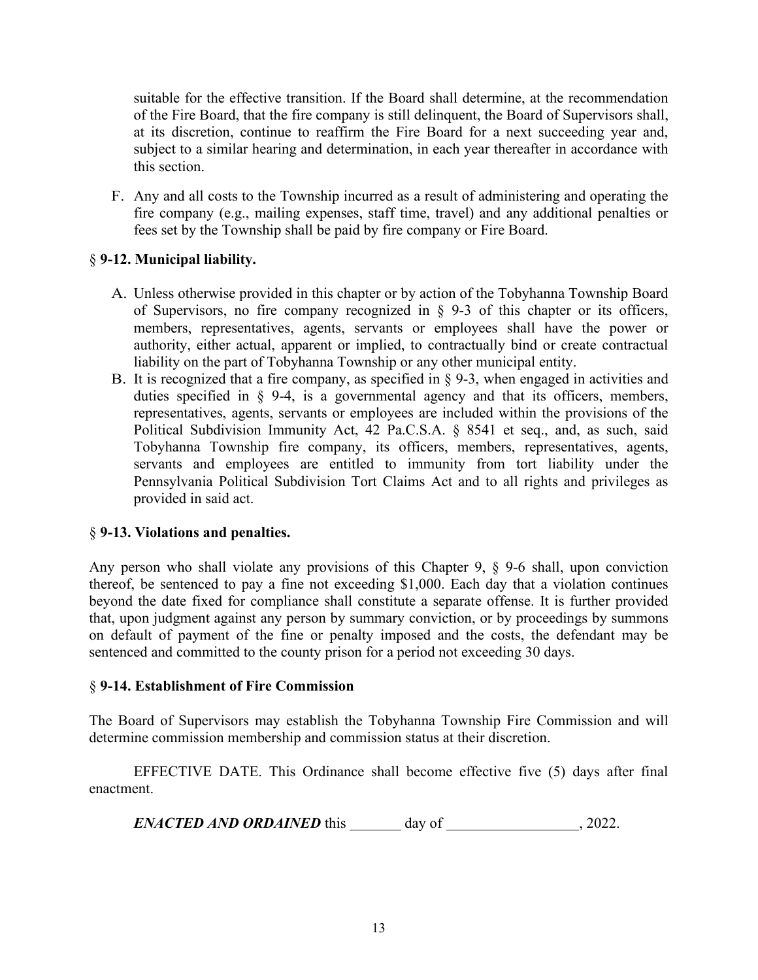suitable for the effective transition. If the Board shall determine, at the recommendation of the Fire Board, that the fire company is still delinquent, the Board of Supervisors shall, at its discretion, continue to reaffirm the Fire Board for a next succeeding year and, subject to a similar hearing and determination, in each year thereafter in accordance with this section.

F. Any and all costs to the Township incurred as a result of administering and operating the fire company (e.g., mailing expenses, staff time, travel) and any additional penalties or fees set by the Township shall be paid by fire company or Fire Board.

## § **9-12. Municipal liability.**

- A. Unless otherwise provided in this chapter or by action of the Tobyhanna Township Board of Supervisors, no fire company recognized in  $\S$  9-3 of this chapter or its officers, members, representatives, agents, servants or employees shall have the power or authority, either actual, apparent or implied, to contractually bind or create contractual liability on the part of Tobyhanna Township or any other municipal entity.
- B. It is recognized that a fire company, as specified in § 9-3, when engaged in activities and duties specified in § 9-4, is a governmental agency and that its officers, members, representatives, agents, servants or employees are included within the provisions of the Political Subdivision Immunity Act, 42 Pa.C.S.A. § 8541 et seq., and, as such, said Tobyhanna Township fire company, its officers, members, representatives, agents, servants and employees are entitled to immunity from tort liability under the Pennsylvania Political Subdivision Tort Claims Act and to all rights and privileges as provided in said act.

### § **9-13. Violations and penalties.**

Any person who shall violate any provisions of this Chapter 9, § 9-6 shall, upon conviction thereof, be sentenced to pay a fine not exceeding \$1,000. Each day that a violation continues beyond the date fixed for compliance shall constitute a separate offense. It is further provided that, upon judgment against any person by summary conviction, or by proceedings by summons on default of payment of the fine or penalty imposed and the costs, the defendant may be sentenced and committed to the county prison for a period not exceeding 30 days.

### § **9-14. Establishment of Fire Commission**

The Board of Supervisors may establish the Tobyhanna Township Fire Commission and will determine commission membership and commission status at their discretion.

EFFECTIVE DATE. This Ordinance shall become effective five (5) days after final enactment.

*ENACTED AND ORDAINED* this day of 3022.